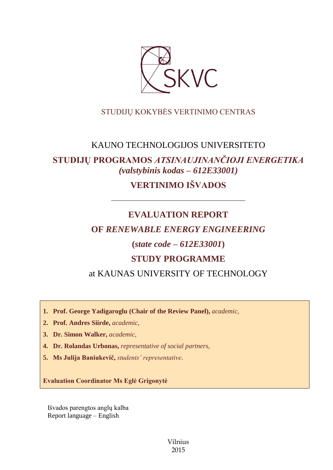

## STUDIJŲ KOKYBĖS VERTINIMO CENTRAS

## KAUNO TECHNOLOGIJOS UNIVERSITETO

# **STUDIJŲ PROGRAMOS** *ATSINAUJINANČIOJI ENERGETIKA (valstybinis kodas – 612E33001)*

# **VERTINIMO IŠVADOS**

## **EVALUATION REPORT**

––––––––––––––––––––––––––––––

## **OF** *RENEWABLE ENERGY ENGINEERING*

## **(***state code – 612E33001***)**

## **STUDY PROGRAMME**

at KAUNAS UNIVERSITY OF TECHNOLOGY

**1. Prof. George Yadigaroglu (Chair of the Review Panel),** *academic,*

- **2. Prof. Andres Siirde,** *academic,*
- **3. Dr. Simon Walker,** *academic,*
- **4. Dr. Rolandas Urbonas,** *representative of social partners,*
- **5. Ms Julija Baniukevič,** *students' representative*.

**Evaluation Coordinator Ms Eglė Grigonytė**

Išvados parengtos anglų kalba Report language – English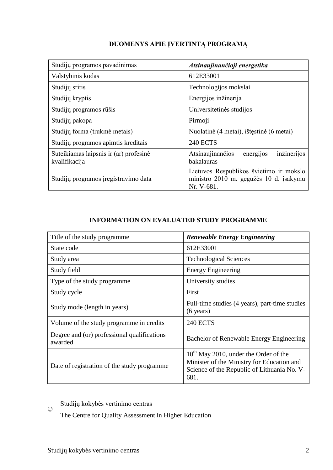| Studijų programos pavadinimas                           | Atsinaujinančioji energetika                                                                    |
|---------------------------------------------------------|-------------------------------------------------------------------------------------------------|
| Valstybinis kodas                                       | 612E33001                                                                                       |
| Studijų sritis                                          | Technologijos mokslai                                                                           |
| Studijų kryptis                                         | Energijos inžinerija                                                                            |
| Studijų programos rūšis                                 | Universitetinės studijos                                                                        |
| Studijų pakopa                                          | Pirmoji                                                                                         |
| Studijų forma (trukmė metais)                           | Nuolatinė (4 metai), ištęstinė (6 metai)                                                        |
| Studijų programos apimtis kreditais                     | <b>240 ECTS</b>                                                                                 |
| Suteikiamas laipsnis ir (ar) profesinė<br>kvalifikacija | energijos<br>inžinerijos<br>Atsinaujinančios<br>bakalauras                                      |
| Studijų programos įregistravimo data                    | Lietuvos Respublikos švietimo ir mokslo<br>ministro 2010 m. gegužės 10 d. įsakymu<br>Nr. V-681. |

## **DUOMENYS APIE ĮVERTINTĄ PROGRAMĄ**

### **INFORMATION ON EVALUATED STUDY PROGRAMME**

–––––––––––––––––––––––––––––––

| Title of the study programme.                          | <b>Renewable Energy Engineering</b>                                                                                                             |  |
|--------------------------------------------------------|-------------------------------------------------------------------------------------------------------------------------------------------------|--|
| State code                                             | 612E33001                                                                                                                                       |  |
| Study area                                             | <b>Technological Sciences</b>                                                                                                                   |  |
| Study field                                            | <b>Energy Engineering</b>                                                                                                                       |  |
| Type of the study programme                            | University studies                                                                                                                              |  |
| Study cycle                                            | First                                                                                                                                           |  |
| Study mode (length in years)                           | Full-time studies (4 years), part-time studies<br>$(6 \text{ years})$                                                                           |  |
| Volume of the study programme in credits               | <b>240 ECTS</b>                                                                                                                                 |  |
| Degree and (or) professional qualifications<br>awarded | Bachelor of Renewable Energy Engineering                                                                                                        |  |
| Date of registration of the study programme            | $10^{th}$ May 2010, under the Order of the<br>Minister of the Ministry for Education and<br>Science of the Republic of Lithuania No. V-<br>681. |  |

#### © Studijų kokybės vertinimo centras

The Centre for Quality Assessment in Higher Education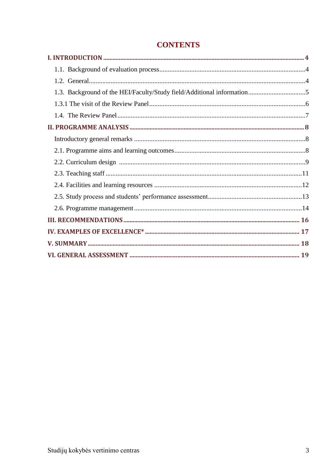| 1.3. Background of the HEI/Faculty/Study field/Additional information5 |  |
|------------------------------------------------------------------------|--|
|                                                                        |  |
|                                                                        |  |
|                                                                        |  |
|                                                                        |  |
|                                                                        |  |
|                                                                        |  |
|                                                                        |  |
|                                                                        |  |
|                                                                        |  |
|                                                                        |  |
|                                                                        |  |
|                                                                        |  |
|                                                                        |  |
|                                                                        |  |

## **CONTENTS**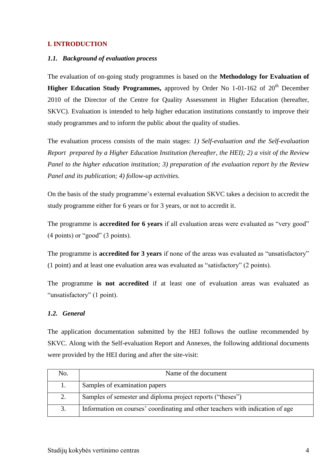### <span id="page-3-1"></span><span id="page-3-0"></span>**I. INTRODUCTION**

#### *1.1. Background of evaluation process*

The evaluation of on-going study programmes is based on the **Methodology for Evaluation of Higher Education Study Programmes,** approved by Order No 1-01-162 of 20<sup>th</sup> December 2010 of the Director of the Centre for Quality Assessment in Higher Education (hereafter, SKVC). Evaluation is intended to help higher education institutions constantly to improve their study programmes and to inform the public about the quality of studies.

The evaluation process consists of the main stages: *1) Self-evaluation and the Self-evaluation Report prepared by a Higher Education Institution (hereafter, the HEI); 2) a visit of the Review Panel to the higher education institution; 3) preparation of the evaluation report by the Review Panel and its publication; 4) follow-up activities.* 

On the basis of the study programme's external evaluation SKVC takes a decision to accredit the study programme either for 6 years or for 3 years, or not to accredit it.

The programme is **accredited for 6 years** if all evaluation areas were evaluated as "very good" (4 points) or "good" (3 points).

The programme is **accredited for 3 years** if none of the areas was evaluated as "unsatisfactory" (1 point) and at least one evaluation area was evaluated as "satisfactory" (2 points).

The programme **is not accredited** if at least one of evaluation areas was evaluated as "unsatisfactory" (1 point).

### <span id="page-3-2"></span>*1.2. General*

The application documentation submitted by the HEI follows the outline recommended by SKVC. Along with the Self-evaluation Report and Annexes, the following additional documents were provided by the HEI during and after the site-visit:

| No. | Name of the document                                                           |
|-----|--------------------------------------------------------------------------------|
|     | Samples of examination papers                                                  |
| 2.  | Samples of semester and diploma project reports ("theses")                     |
| 3.  | Information on courses' coordinating and other teachers with indication of age |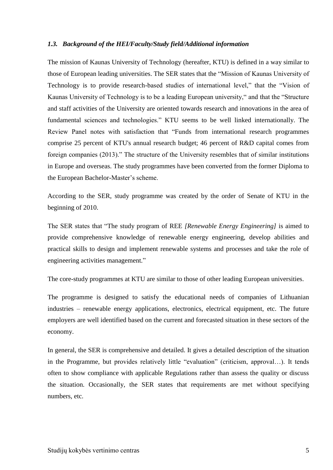#### <span id="page-4-0"></span>*1.3. Background of the HEI/Faculty/Study field/Additional information*

The mission of Kaunas University of Technology (hereafter, KTU) is defined in a way similar to those of European leading universities. The SER states that the "Mission of Kaunas University of Technology is to provide research-based studies of international level," that the "Vision of Kaunas University of Technology is to be a leading European university," and that the "Structure and staff activities of the University are oriented towards research and innovations in the area of fundamental sciences and technologies." KTU seems to be well linked internationally. The Review Panel notes with satisfaction that "Funds from international research programmes comprise 25 percent of KTU's annual research budget; 46 percent of R&D capital comes from foreign companies (2013)." The structure of the University resembles that of similar institutions in Europe and overseas. The study programmes have been converted from the former Diploma to the European Bachelor-Master's scheme.

According to the SER, study programme was created by the order of Senate of KTU in the beginning of 2010.

The SER states that "The study program of REE *[Renewable Energy Engineering]* is aimed to provide comprehensive knowledge of renewable energy engineering, develop abilities and practical skills to design and implement renewable systems and processes and take the role of engineering activities management."

The core-study programmes at KTU are similar to those of other leading European universities.

The programme is designed to satisfy the educational needs of companies of Lithuanian industries – renewable energy applications, electronics, electrical equipment, etc. The future employers are well identified based on the current and forecasted situation in these sectors of the economy.

In general, the SER is comprehensive and detailed. It gives a detailed description of the situation in the Programme, but provides relatively little "evaluation" (criticism, approval…). It tends often to show compliance with applicable Regulations rather than assess the quality or discuss the situation. Occasionally, the SER states that requirements are met without specifying numbers, etc.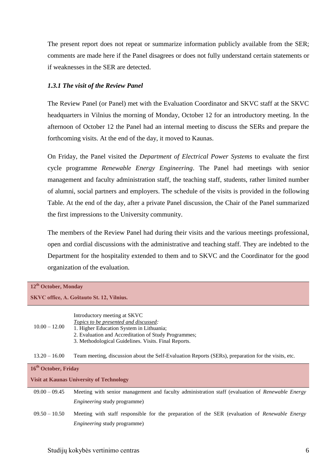The present report does not repeat or summarize information publicly available from the SER; comments are made here if the Panel disagrees or does not fully understand certain statements or if weaknesses in the SER are detected.

#### <span id="page-5-0"></span>*1.3.1 The visit of the Review Panel*

The Review Panel (or Panel) met with the Evaluation Coordinator and SKVC staff at the SKVC headquarters in Vilnius the morning of Monday, October 12 for an introductory meeting. In the afternoon of October 12 the Panel had an internal meeting to discuss the SERs and prepare the forthcoming visits. At the end of the day, it moved to Kaunas.

On Friday, the Panel visited the *Department of Electrical Power Systems* to evaluate the first cycle programme *Renewable Energy Engineering*. The Panel had meetings with senior management and faculty administration staff, the teaching staff, students, rather limited number of alumni, social partners and employers. The schedule of the visits is provided in the following Table. At the end of the day, after a private Panel discussion, the Chair of the Panel summarized the first impressions to the University community.

The members of the Review Panel had during their visits and the various meetings professional, open and cordial discussions with the administrative and teaching staff. They are indebted to the Department for the hospitality extended to them and to SKVC and the Coordinator for the good organization of the evaluation.

| 12 <sup>th</sup> October, Monday                |                                                                                                                                                                                                                                   |  |
|-------------------------------------------------|-----------------------------------------------------------------------------------------------------------------------------------------------------------------------------------------------------------------------------------|--|
| SKVC office, A. Goštauto St. 12, Vilnius.       |                                                                                                                                                                                                                                   |  |
| $10.00 - 12.00$                                 | Introductory meeting at SKVC<br>Topics to be presented and discussed:<br>1. Higher Education System in Lithuania;<br>2. Evaluation and Accreditation of Study Programmes;<br>3. Methodological Guidelines. Visits. Final Reports. |  |
| $13.20 - 16.00$                                 | Team meeting, discussion about the Self-Evaluation Reports (SERs), preparation for the visits, etc.                                                                                                                               |  |
| 16 <sup>th</sup> October, Friday                |                                                                                                                                                                                                                                   |  |
| <b>Visit at Kaunas University of Technology</b> |                                                                                                                                                                                                                                   |  |
| $09.00 - 09.45$                                 | Meeting with senior management and faculty administration staff (evaluation of Renewable Energy                                                                                                                                   |  |
|                                                 | <i>Engineering</i> study programme)                                                                                                                                                                                               |  |
| $09.50 - 10.50$                                 | Meeting with staff responsible for the preparation of the SER (evaluation of Renewable Energy<br><i>Engineering</i> study programme)                                                                                              |  |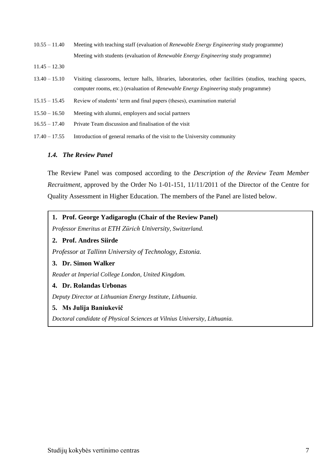- $10.55 11.40$ Meeting with teaching staff (evaluation of *Renewable Energy Engineering* study programme) Meeting with students (evaluation of *Renewable Energy Engineering* study programme)
- 11.45 12.30
- 13.40 15.10 Visiting classrooms, lecture halls, libraries, laboratories, other facilities (studios, teaching spaces, computer rooms, etc.) (evaluation of *Renewable Energy Engineering* study programme)
- 15.15 15.45 Review of students' term and final papers (theses), examination material
- $15.50 16.50$ Meeting with alumni, employers and social partners
- $16.55 17.40$ Private Team discussion and finalisation of the visit
- 17.40 17.55 Introduction of general remarks of the visit to the University community

#### <span id="page-6-0"></span>*1.4. The Review Panel*

The Review Panel was composed according to the *Description of the Review Team Member Recruitment*, approved by the Order No 1-01-151, 11/11/2011 of the Director of the Centre for Quality Assessment in Higher Education. The members of the Panel are listed below.

### **1. Prof. George Yadigaroglu (Chair of the Review Panel)**

*Professor Emeritus at ETH Zürich University, Switzerland.*

#### **2. Prof. Andres Siirde**

*Professor at Tallinn University of Technology, Estonia.*

#### **3. Dr. Simon Walker**

*Reader at Imperial College London, United Kingdom.*

#### **4. Dr. Rolandas Urbonas**

*Deputy Director at Lithuanian Energy Institute, Lithuania.*

#### **5. Ms Julija Baniukevič**

*Doctoral candidate of Physical Sciences at Vilnius University, Lithuania.*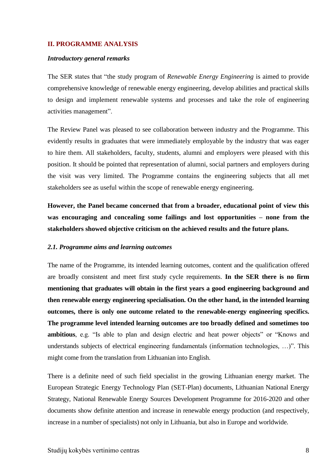#### <span id="page-7-1"></span><span id="page-7-0"></span>**II. PROGRAMME ANALYSIS**

#### *Introductory general remarks*

The SER states that "the study program of *Renewable Energy Engineering* is aimed to provide comprehensive knowledge of renewable energy engineering, develop abilities and practical skills to design and implement renewable systems and processes and take the role of engineering activities management".

The Review Panel was pleased to see collaboration between industry and the Programme. This evidently results in graduates that were immediately employable by the industry that was eager to hire them. All stakeholders, faculty, students, alumni and employers were pleased with this position. It should be pointed that representation of alumni, social partners and employers during the visit was very limited. The Programme contains the engineering subjects that all met stakeholders see as useful within the scope of renewable energy engineering.

**However, the Panel became concerned that from a broader, educational point of view this was encouraging and concealing some failings and lost opportunities – none from the stakeholders showed objective criticism on the achieved results and the future plans.**

#### <span id="page-7-2"></span>*2.1. Programme aims and learning outcomes*

The name of the Programme, its intended learning outcomes, content and the qualification offered are broadly consistent and meet first study cycle requirements. **In the SER there is no firm mentioning that graduates will obtain in the first years a good engineering background and then renewable energy engineering specialisation. On the other hand, in the intended learning outcomes, there is only one outcome related to the renewable-energy engineering specifics. The programme level intended learning outcomes are too broadly defined and sometimes too ambitious**, e.g. "Is able to plan and design electric and heat power objects" or "Knows and understands subjects of electrical engineering fundamentals (information technologies, …)". This might come from the translation from Lithuanian into English.

There is a definite need of such field specialist in the growing Lithuanian energy market. The European Strategic Energy Technology Plan (SET-Plan) documents, Lithuanian National Energy Strategy, National Renewable Energy Sources Development Programme for 2016-2020 and other documents show definite attention and increase in renewable energy production (and respectively, increase in a number of specialists) not only in Lithuania, but also in Europe and worldwide.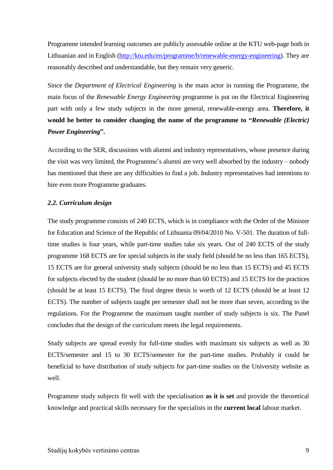Programme intended learning outcomes are publicly assessable online at the KTU web-page both in Lithuanian and in English [\(http://ktu.edu/en/programme/b/renewable-energy-engineering\)](http://ktu.edu/en/programme/b/renewable-energy-engineering). They are reasonably described and understandable, but they remain very generic.

Since the *Department of Electrical Engineering* is the main actor in running the Programme, the main focus of the *Renewable Energy Engineering* programme is put on the Electrical Engineering part with only a few study subjects in the more general, renewable-energy area. **Therefore, it would be better to consider changing the name of the programme to "***Renewable (Electric) Power Engineering***".** 

According to the SER, discussions with alumni and industry representatives, whose presence during the visit was very limited, the Programme's alumni are very well absorbed by the industry – nobody has mentioned that there are any difficulties to find a job. Industry representatives had intentions to hire even more Programme graduates.

#### <span id="page-8-0"></span>*2.2. Curriculum design*

The study programme consists of 240 ECTS, which is in compliance with the Order of the Minister for Education and Science of the Republic of Lithuania 09/04/2010 No. V-501. The duration of fulltime studies is four years, while part-time studies take six years. Out of 240 ECTS of the study programme 168 ECTS are for special subjects in the study field (should be no less than 165 ECTS), 15 ECTS are for general university study subjects (should be no less than 15 ECTS) and 45 ECTS for subjects elected by the student (should be no more than 60 ECTS) and 15 ECTS for the practices (should be at least 15 ECTS). The final degree thesis is worth of 12 ECTS (should be at least 12 ECTS). The number of subjects taught per semester shall not be more than seven, according to the regulations. For the Programme the maximum taught number of study subjects is six. The Panel concludes that the design of the curriculum meets the legal requirements.

Study subjects are spread evenly for full-time studies with maximum six subjects as well as 30 ECTS/semester and 15 to 30 ECTS/semester for the part-time studies. Probably it could be beneficial to have distribution of study subjects for part-time studies on the University website as well.

Programme study subjects fit well with the specialisation **as it is set** and provide the theoretical knowledge and practical skills necessary for the specialists in the **current local** labour market.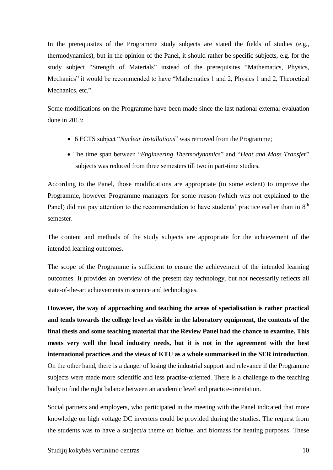In the prerequisites of the Programme study subjects are stated the fields of studies (e.g., thermodynamics), but in the opinion of the Panel, it should rather be specific subjects, e.g. for the study subject "Strength of Materials" instead of the prerequisites "Mathematics, Physics, Mechanics" it would be recommended to have "Mathematics 1 and 2, Physics 1 and 2, Theoretical Mechanics, etc.".

Some modifications on the Programme have been made since the last national external evaluation done in 2013:

- 6 ECTS subject "*Nuclear Installations*" was removed from the Programme;
- The time span between "*Engineering Thermodynamics*" and "*Heat and Mass Transfer*" subjects was reduced from three semesters till two in part-time studies.

According to the Panel, those modifications are appropriate (to some extent) to improve the Programme, however Programme managers for some reason (which was not explained to the Panel) did not pay attention to the recommendation to have students' practice earlier than in 8<sup>th</sup> semester.

The content and methods of the study subjects are appropriate for the achievement of the intended learning outcomes.

The scope of the Programme is sufficient to ensure the achievement of the intended learning outcomes. It provides an overview of the present day technology, but not necessarily reflects all state-of-the-art achievements in science and technologies.

**However, the way of approaching and teaching the areas of specialisation is rather practical and tends towards the college level as visible in the laboratory equipment, the contents of the final thesis and some teaching material that the Review Panel had the chance to examine. This meets very well the local industry needs, but it is not in the agreement with the best international practices and the views of KTU as a whole summarised in the SER introduction**. On the other hand, there is a danger of losing the industrial support and relevance if the Programme subjects were made more scientific and less practise-oriented. There is a challenge to the teaching body to find the right balance between an academic level and practice-orientation.

Social partners and employers, who participated in the meeting with the Panel indicated that more knowledge on high voltage DC inverters could be provided during the studies. The request from the students was to have a subject/a theme on biofuel and biomass for heating purposes. These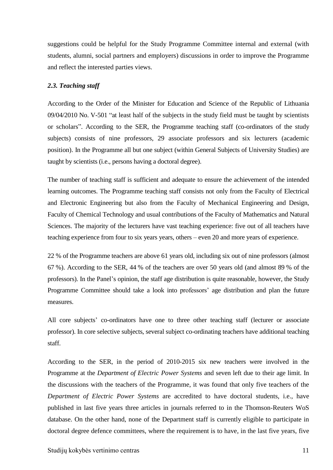suggestions could be helpful for the Study Programme Committee internal and external (with students, alumni, social partners and employers) discussions in order to improve the Programme and reflect the interested parties views.

#### <span id="page-10-0"></span>*2.3. Teaching staff*

According to the Order of the Minister for Education and Science of the Republic of Lithuania 09/04/2010 No. V-501 "at least half of the subjects in the study field must be taught by scientists or scholars". According to the SER, the Programme teaching staff (co-ordinators of the study subjects) consists of nine professors, 29 associate professors and six lecturers (academic position). In the Programme all but one subject (within General Subjects of University Studies) are taught by scientists (i.e., persons having a doctoral degree).

The number of teaching staff is sufficient and adequate to ensure the achievement of the intended learning outcomes. The Programme teaching staff consists not only from the Faculty of Electrical and Electronic Engineering but also from the Faculty of Mechanical Engineering and Design, Faculty of Chemical Technology and usual contributions of the Faculty of Mathematics and Natural Sciences. The majority of the lecturers have vast teaching experience: five out of all teachers have teaching experience from four to six years years, others – even 20 and more years of experience.

22 % of the Programme teachers are above 61 years old, including six out of nine professors (almost 67 %). According to the SER, 44 % of the teachers are over 50 years old (and almost 89 % of the professors). In the Panel's opinion, the staff age distribution is quite reasonable, however, the Study Programme Committee should take a look into professors' age distribution and plan the future measures.

All core subjects' co-ordinators have one to three other teaching staff (lecturer or associate professor). In core selective subjects, several subject co-ordinating teachers have additional teaching staff.

According to the SER, in the period of 2010-2015 six new teachers were involved in the Programme at the *Department of Electric Power Systems* and seven left due to their age limit. In the discussions with the teachers of the Programme, it was found that only five teachers of the *Department of Electric Power Systems* are accredited to have doctoral students, i.e., have published in last five years three articles in journals referred to in the Thomson-Reuters WoS database. On the other hand, none of the Department staff is currently eligible to participate in doctoral degree defence committees, where the requirement is to have, in the last five years, five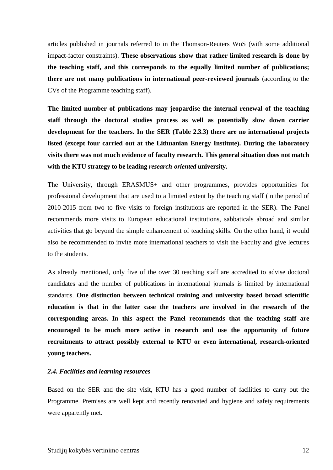articles published in journals referred to in the Thomson-Reuters WoS (with some additional impact-factor constraints). **These observations show that rather limited research is done by the teaching staff, and this corresponds to the equally limited number of publications; there are not many publications in international peer-reviewed journals** (according to the CVs of the Programme teaching staff).

**The limited number of publications may jeopardise the internal renewal of the teaching staff through the doctoral studies process as well as potentially slow down carrier development for the teachers. In the SER (Table 2.3.3) there are no international projects listed (except four carried out at the Lithuanian Energy Institute). During the laboratory visits there was not much evidence of faculty research. This general situation does not match with the KTU strategy to be leading** *research-oriented* **university.**

The University, through ERASMUS+ and other programmes, provides opportunities for professional development that are used to a limited extent by the teaching staff (in the period of 2010-2015 from two to five visits to foreign institutions are reported in the SER). The Panel recommends more visits to European educational institutions, sabbaticals abroad and similar activities that go beyond the simple enhancement of teaching skills. On the other hand, it would also be recommended to invite more international teachers to visit the Faculty and give lectures to the students.

As already mentioned, only five of the over 30 teaching staff are accredited to advise doctoral candidates and the number of publications in international journals is limited by international standards. **One distinction between technical training and university based broad scientific education is that in the latter case the teachers are involved in the research of the corresponding areas. In this aspect the Panel recommends that the teaching staff are encouraged to be much more active in research and use the opportunity of future recruitments to attract possibly external to KTU or even international, research-oriented young teachers.** 

#### <span id="page-11-0"></span>*2.4. Facilities and learning resources*

Based on the SER and the site visit, KTU has a good number of facilities to carry out the Programme. Premises are well kept and recently renovated and hygiene and safety requirements were apparently met.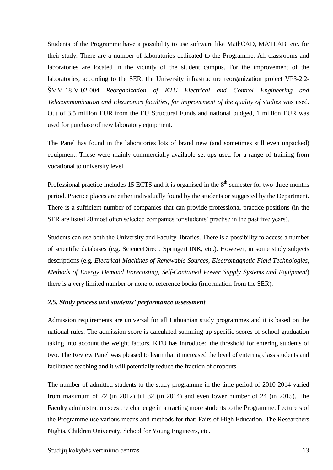Students of the Programme have a possibility to use software like MathCAD, MATLAB, etc. for their study. There are a number of laboratories dedicated to the Programme. All classrooms and laboratories are located in the vicinity of the student campus. For the improvement of the laboratories, according to the SER, the University infrastructure reorganization project VP3-2.2- ŠMM-18-V-02-004 *Reorganization of KTU Electrical and Control Engineering and Telecommunication and Electronics faculties, for improvement of the quality of studies* was used. Out of 3.5 million EUR from the EU Structural Funds and national budged, 1 million EUR was used for purchase of new laboratory equipment.

The Panel has found in the laboratories lots of brand new (and sometimes still even unpacked) equipment. These were mainly commercially available set-ups used for a range of training from vocational to university level.

Professional practice includes 15 ECTS and it is organised in the  $8<sup>th</sup>$  semester for two-three months period. Practice places are either individually found by the students or suggested by the Department. There is a sufficient number of companies that can provide professional practice positions (in the SER are listed 20 most often selected companies for students' practise in the past five years).

Students can use both the University and Faculty libraries. There is a possibility to access a number of scientific databases (e.g. ScienceDirect, SpringerLINK, etc.). However, in some study subjects descriptions (e.g. *Electrical Machines of Renewable Sources*, *Electromagnetic Field Technologies*, *Methods of Energy Demand Forecasting*, *Self-Contained Power Supply Systems and Equipment*) there is a very limited number or none of reference books (information from the SER).

#### <span id="page-12-0"></span>*2.5. Study process and students' performance assessment*

Admission requirements are universal for all Lithuanian study programmes and it is based on the national rules. The admission score is calculated summing up specific scores of school graduation taking into account the weight factors. KTU has introduced the threshold for entering students of two. The Review Panel was pleased to learn that it increased the level of entering class students and facilitated teaching and it will potentially reduce the fraction of dropouts.

The number of admitted students to the study programme in the time period of 2010-2014 varied from maximum of 72 (in 2012) till 32 (in 2014) and even lower number of 24 (in 2015). The Faculty administration sees the challenge in attracting more students to the Programme. Lecturers of the Programme use various means and methods for that: Fairs of High Education, The Researchers Nights, Children University, School for Young Engineers, etc.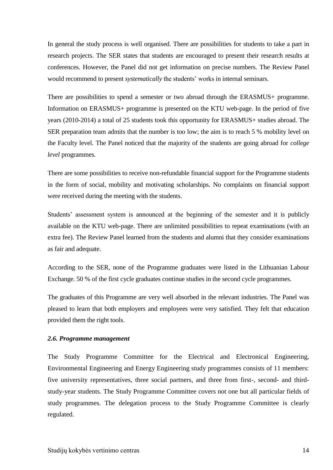In general the study process is well organised. There are possibilities for students to take a part in research projects. The SER states that students are encouraged to present their research results at conferences. However, the Panel did not get information on precise numbers. The Review Panel would recommend to present *systematically* the students' works in internal seminars.

There are possibilities to spend a semester or two abroad through the ERASMUS+ programme. Information on ERASMUS+ programme is presented on the KTU web-page. In the period of five years (2010-2014) a total of 25 students took this opportunity for ERASMUS+ studies abroad. The SER preparation team admits that the number is too low; the aim is to reach 5 % mobility level on the Faculty level. The Panel noticed that the majority of the students are going abroad for *college level* programmes.

There are some possibilities to receive non-refundable financial support for the Programme students in the form of social, mobility and motivating scholarships. No complaints on financial support were received during the meeting with the students.

Students' assessment system is announced at the beginning of the semester and it is publicly available on the KTU web-page. There are unlimited possibilities to repeat examinations (with an extra fee). The Review Panel learned from the students and alumni that they consider examinations as fair and adequate.

According to the SER, none of the Programme graduates were listed in the Lithuanian Labour Exchange. 50 % of the first cycle graduates continue studies in the second cycle programmes.

The graduates of this Programme are very well absorbed in the relevant industries. The Panel was pleased to learn that both employers and employees were very satisfied. They felt that education provided them the right tools.

#### <span id="page-13-0"></span>*2.6. Programme management*

The Study Programme Committee for the Electrical and Electronical Engineering, Environmental Engineering and Energy Engineering study programmes consists of 11 members: five university representatives, three social partners, and three from first-, second- and thirdstudy-year students. The Study Programme Committee covers not one but all particular fields of study programmes. The delegation process to the Study Programme Committee is clearly regulated.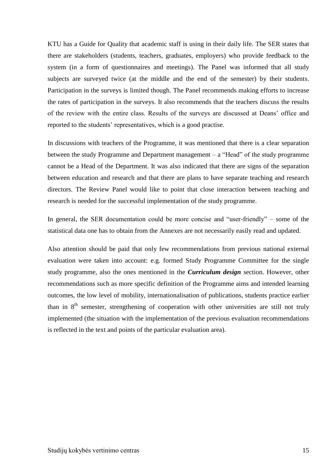KTU has a Guide for Quality that academic staff is using in their daily life. The SER states that there are stakeholders (students, teachers, graduates, employers) who provide feedback to the system (in a form of questionnaires and meetings). The Panel was informed that all study subjects are surveyed twice (at the middle and the end of the semester) by their students. Participation in the surveys is limited though. The Panel recommends making efforts to increase the rates of participation in the surveys. It also recommends that the teachers discuss the results of the review with the entire class. Results of the surveys are discussed at Deans' office and reported to the students' representatives, which is a good practise.

In discussions with teachers of the Programme, it was mentioned that there is a clear separation between the study Programme and Department management – a "Head" of the study programme cannot be a Head of the Department. It was also indicated that there are signs of the separation between education and research and that there are plans to have separate teaching and research directors. The Review Panel would like to point that close interaction between teaching and research is needed for the successful implementation of the study programme.

In general, the SER documentation could be more concise and "user-friendly" – some of the statistical data one has to obtain from the Annexes are not necessarily easily read and updated.

Also attention should be paid that only few recommendations from previous national external evaluation were taken into account: e.g. formed Study Programme Committee for the single study programme, also the ones mentioned in the *Curriculum design* section. However, other recommendations such as more specific definition of the Programme aims and intended learning outcomes, the low level of mobility, internationalisation of publications, students practice earlier than in  $8<sup>th</sup>$  semester, strengthening of cooperation with other universities are still not truly implemented (the situation with the implementation of the previous evaluation recommendations is reflected in the text and points of the particular evaluation area).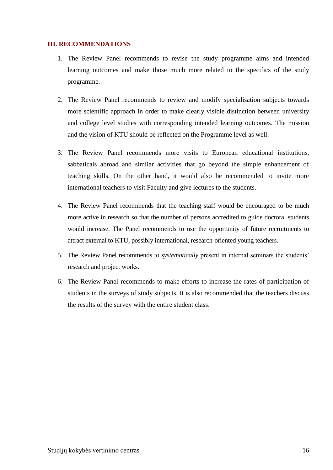#### <span id="page-15-0"></span>**III. RECOMMENDATIONS**

- 1. The Review Panel recommends to revise the study programme aims and intended learning outcomes and make those much more related to the specifics of the study programme.
- 2. The Review Panel recommends to review and modify specialisation subjects towards more scientific approach in order to make clearly visible distinction between university and college level studies with corresponding intended learning outcomes. The mission and the vision of KTU should be reflected on the Programme level as well.
- 3. The Review Panel recommends more visits to European educational institutions, sabbaticals abroad and similar activities that go beyond the simple enhancement of teaching skills. On the other hand, it would also be recommended to invite more international teachers to visit Faculty and give lectures to the students.
- 4. The Review Panel recommends that the teaching staff would be encouraged to be much more active in research so that the number of persons accredited to guide doctoral students would increase. The Panel recommends to use the opportunity of future recruitments to attract external to KTU, possibly international, research-oriented young teachers.
- 5. The Review Panel recommends to *systematically* present in internal seminars the students' research and project works.
- 6. The Review Panel recommends to make efforts to increase the rates of participation of students in the surveys of study subjects. It is also recommended that the teachers discuss the results of the survey with the entire student class.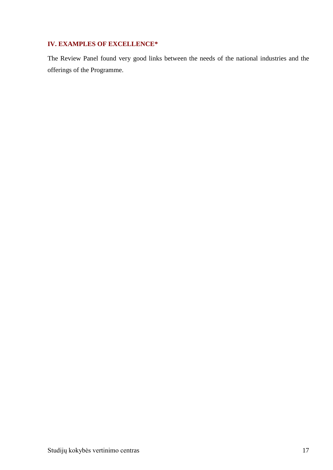## <span id="page-16-0"></span>**IV. EXAMPLES OF EXCELLENCE\***

The Review Panel found very good links between the needs of the national industries and the offerings of the Programme.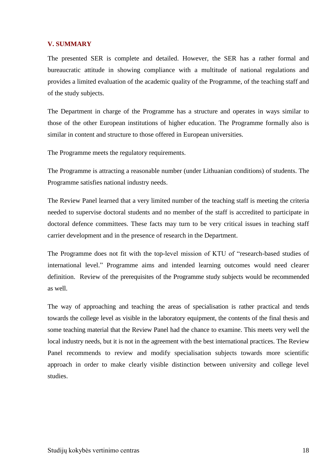#### <span id="page-17-0"></span>**V. SUMMARY**

The presented SER is complete and detailed. However, the SER has a rather formal and bureaucratic attitude in showing compliance with a multitude of national regulations and provides a limited evaluation of the academic quality of the Programme, of the teaching staff and of the study subjects.

The Department in charge of the Programme has a structure and operates in ways similar to those of the other European institutions of higher education. The Programme formally also is similar in content and structure to those offered in European universities.

The Programme meets the regulatory requirements.

The Programme is attracting a reasonable number (under Lithuanian conditions) of students. The Programme satisfies national industry needs.

The Review Panel learned that a very limited number of the teaching staff is meeting the criteria needed to supervise doctoral students and no member of the staff is accredited to participate in doctoral defence committees. These facts may turn to be very critical issues in teaching staff carrier development and in the presence of research in the Department.

The Programme does not fit with the top-level mission of KTU of "research-based studies of international level." Programme aims and intended learning outcomes would need clearer definition. Review of the prerequisites of the Programme study subjects would be recommended as well.

The way of approaching and teaching the areas of specialisation is rather practical and tends towards the college level as visible in the laboratory equipment, the contents of the final thesis and some teaching material that the Review Panel had the chance to examine. This meets very well the local industry needs, but it is not in the agreement with the best international practices. The Review Panel recommends to review and modify specialisation subjects towards more scientific approach in order to make clearly visible distinction between university and college level studies.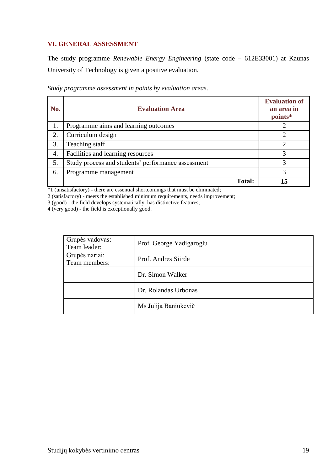### <span id="page-18-0"></span>**VI. GENERAL ASSESSMENT**

The study programme *Renewable Energy Engineering* (state code – 612E33001) at Kaunas University of Technology is given a positive evaluation.

| No. | <b>Evaluation Area</b>                             | <b>Evaluation of</b><br>an area in<br>points* |
|-----|----------------------------------------------------|-----------------------------------------------|
| 1.  | Programme aims and learning outcomes               |                                               |
| 2.  | Curriculum design                                  | ↑                                             |
| 3.  | Teaching staff                                     |                                               |
| 4.  | Facilities and learning resources                  | 3                                             |
| 5.  | Study process and students' performance assessment | 3                                             |
| 6.  | Programme management                               | 3                                             |
|     | <b>Total:</b>                                      | 15                                            |

*Study programme assessment in points by evaluation areas*.

\*1 (unsatisfactory) - there are essential shortcomings that must be eliminated;

2 (satisfactory) - meets the established minimum requirements, needs improvement;

3 (good) - the field develops systematically, has distinctive features;

4 (very good) - the field is exceptionally good.

| Grupės vadovas:<br>Team leader: | Prof. George Yadigaroglu |
|---------------------------------|--------------------------|
| Grupės nariai:<br>Team members: | Prof. Andres Siirde      |
|                                 | Dr. Simon Walker         |
|                                 | Dr. Rolandas Urbonas     |
|                                 | Ms Julija Baniukevič     |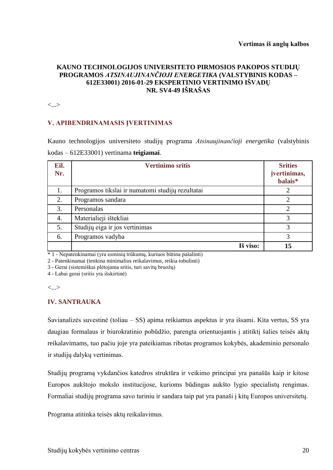### **KAUNO TECHNOLOGIJOS UNIVERSITETO PIRMOSIOS PAKOPOS STUDIJŲ PROGRAMOS** *ATSINAUJINANČIOJI ENERGETIKA* **(VALSTYBINIS KODAS – 612E33001) 2016-01-29 EKSPERTINIO VERTINIMO IŠVADŲ NR. SV4-49 IŠRAŠAS**

<...>

### **V. APIBENDRINAMASIS ĮVERTINIMAS**

Kauno technologijos universiteto studijų programa *Atsinaujinančioji energetika* (valstybinis kodas – 612E33001) vertinama **teigiamai**.

| Eil.<br>Nr. | <b>Vertinimo sritis</b>                          | <b>Srities</b><br>įvertinimas,<br>balais* |
|-------------|--------------------------------------------------|-------------------------------------------|
| 1.          | Programos tikslai ir numatomi studijų rezultatai |                                           |
| 2.          | Programos sandara                                | C                                         |
| 3.          | Personalas                                       | $\overline{2}$                            |
| 4.          | Materialieji ištekliai                           | 3                                         |
| 5.          | Studijų eiga ir jos vertinimas                   | 3                                         |
| 6.          | Programos vadyba                                 | 3                                         |
|             | Iš viso:                                         | 15                                        |

\* 1 - Nepatenkinamai (yra esminių trūkumų, kuriuos būtina pašalinti)

2 - Patenkinamai (tenkina minimalius reikalavimus, reikia tobulinti)

3 - Gerai (sistemiškai plėtojama sritis, turi savitų bruožų)

4 - Labai gerai (sritis yra išskirtinė)

<...>

#### **IV. SANTRAUKA**

Savianalizės suvestinė (toliau – SS) apima reikiamus aspektus ir yra išsami. Kita vertus, SS yra daugiau formalaus ir biurokratinio pobūdžio, parengta orientuojantis į atitiktį šalies teisės aktų reikalavimams, tuo pačiu joje yra pateikiamas ribotas programos kokybės, akademinio personalo ir studijų dalykų vertinimas.

Studijų programą vykdančios katedros struktūra ir veikimo principai yra panašūs kaip ir kitose Europos aukštojo mokslo institucijose, kurioms būdingas aukšto lygio specialistų rengimas. Formaliai studijų programa savo turiniu ir sandara taip pat yra panaši į kitų Europos universitetų.

Programa atitinka teisės aktų reikalavimus.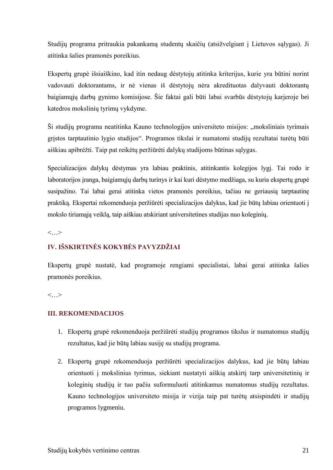Studijų programa pritraukia pakankamą studentų skaičių (atsižvelgiant į Lietuvos sąlygas). Ji atitinka šalies pramonės poreikius.

Ekspertų grupė išsiaiškino, kad itin nedaug dėstytojų atitinka kriterijus, kurie yra būtini norint vadovauti doktorantams, ir nė vienas iš dėstytojų nėra akredituotas dalyvauti doktorantų baigiamųjų darbų gynimo komisijose. Šie faktai gali būti labai svarbūs dėstytojų karjeroje bei katedros mokslinių tyrimų vykdyme.

Ši studijų programa neatitinka Kauno technologijos universiteto misijos: "moksliniais tyrimais grįstos tarptautinio lygio studijos". Programos tikslai ir numatomi studijų rezultatai turėtų būti aiškiau apibrėžti. Taip pat reikėtų peržiūrėti dalykų studijoms būtinas sąlygas.

Specializacijos dalykų dėstymas yra labiau praktinis, atitinkantis kolegijos lygį. Tai rodo ir laboratorijos įranga, baigiamųjų darbų turinys ir kai kuri dėstymo medžiaga, su kuria ekspertų grupė susipažino. Tai labai gerai atitinka vietos pramonės poreikius, tačiau ne geriausią tarptautinę praktiką. Ekspertai rekomenduoja peržiūrėti specializacijos dalykus, kad jie būtų labiau orientuoti į mokslo tiriamąją veiklą, taip aiškiau atskiriant universitetines studijas nuo koleginių.

 $\langle \quad \rangle$ 

## **IV. IŠSKIRTINĖS KOKYBĖS PAVYZDŽIAI**

Ekspertų grupė nustatė, kad programoje rengiami specialistai, labai gerai atitinka šalies pramonės poreikius.

 $\langle$  >

### **III. REKOMENDACIJOS**

- 1. Ekspertų grupė rekomenduoja peržiūrėti studijų programos tikslus ir numatomus studijų rezultatus, kad jie būtų labiau susiję su studijų programa.
- 2. Ekspertų grupė rekomenduoja peržiūrėti specializacijos dalykus, kad jie būtų labiau orientuoti į mokslinius tyrimus, siekiant nustatyti aiškią atskirtį tarp universitetinių ir koleginių studijų ir tuo pačiu suformuluoti atitinkamus numatomus studijų rezultatus. Kauno technologijos universiteto misija ir vizija taip pat turėtų atsispindėti ir studijų programos lygmeniu.